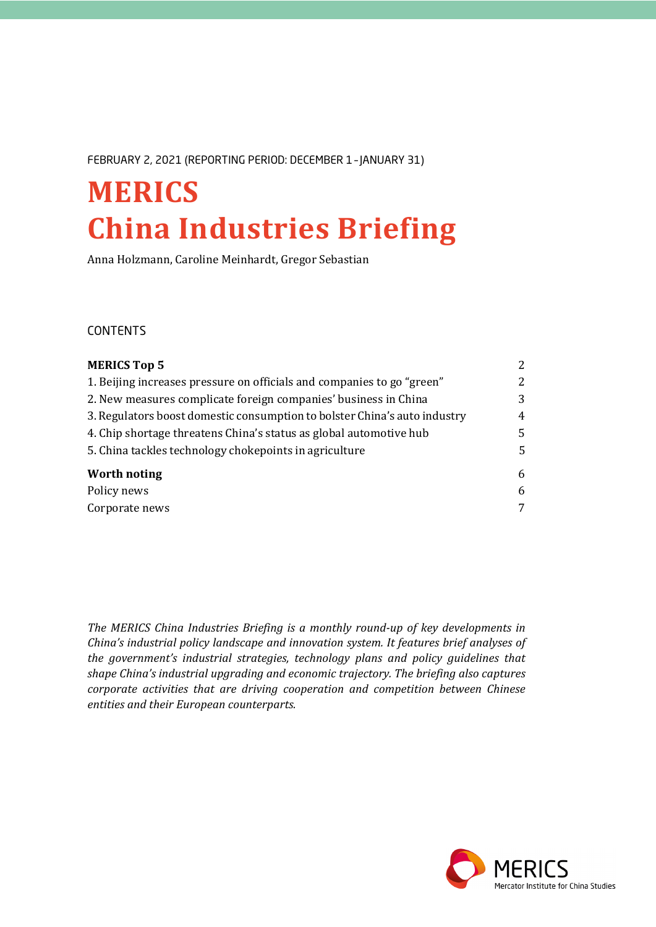FEBRUARY 2, 2021 (REPORTING PERIOD: DECEMBER 1 – JANUARY 31)

# **MERICS China Industries Briefing**

Anna Holzmann, Caroline Meinhardt, Gregor Sebastian

## CONTENTS

| <b>MERICS Top 5</b><br>1. Beijing increases pressure on officials and companies to go "green"                                                   | $\overline{2}$<br>$\mathbf{2}^{\prime}$ |
|-------------------------------------------------------------------------------------------------------------------------------------------------|-----------------------------------------|
|                                                                                                                                                 |                                         |
| 3. Regulators boost domestic consumption to bolster China's auto industry<br>4. Chip shortage threatens China's status as global automotive hub | 4<br>5.                                 |
|                                                                                                                                                 |                                         |
| Worth noting                                                                                                                                    | 6                                       |
| Policy news                                                                                                                                     | 6                                       |
| Corporate news                                                                                                                                  | 7                                       |
|                                                                                                                                                 |                                         |

*The MERICS China Industries Briefing is a monthly round-up of key developments in China's industrial policy landscape and innovation system. It features brief analyses of the government's industrial strategies, technology plans and policy guidelines that shape China's industrial upgrading and economic trajectory. The briefing also captures corporate activities that are driving cooperation and competition between Chinese entities and their European counterparts.*

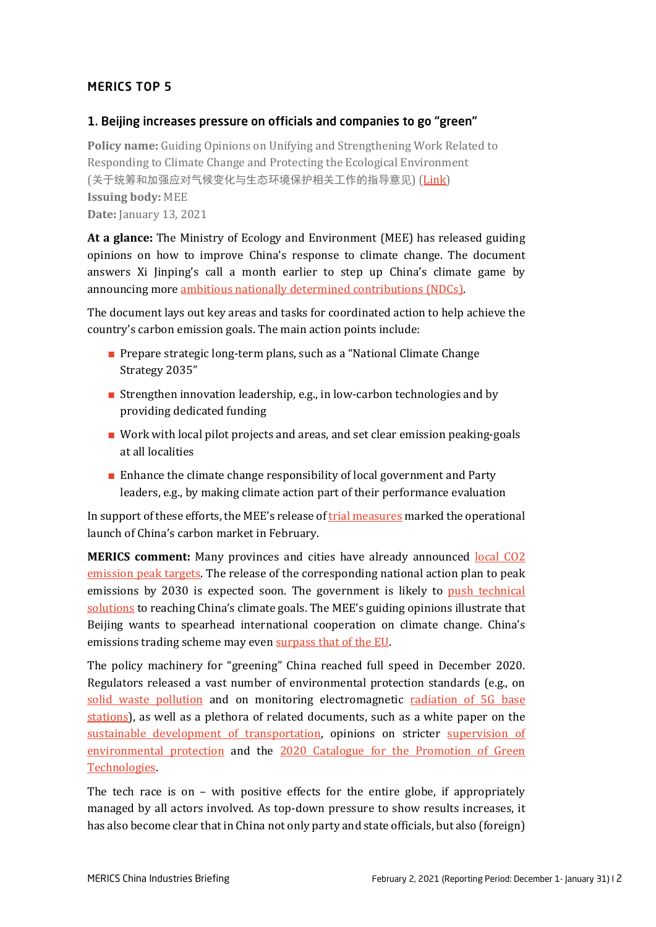## <span id="page-1-0"></span>MERICS TOP 5

## <span id="page-1-1"></span>1. Beijing increases pressure on officials and companies to go "green"

**Policy name:** Guiding Opinions on Unifying and Strengthening Work Related to Responding to Climate Change and Protecting the Ecological Environment (关于统筹和加强应对气候变化与生态环境保护相关工作的指导意见) [\(Link\)](http://www.mee.gov.cn/xxgk2018/xxgk/xxgk03/202101/t20210113_817221.html) **Issuing body:** MEE **Date:** January 13, 2021

**At a glance:** The Ministry of Ecology and Environment (MEE) has released guiding opinions on how to improve China's response to climate change. The document answers Xi Jinping's call a month earlier to step up China's climate game by announcing more [ambitious nationally determined contributions \(NDCs\).](https://www.chinadaily.com.cn/a/202012/13/WS5fd575a2a31024ad0ba9b7ac.html)

The document lays out key areas and tasks for coordinated action to help achieve the country's carbon emission goals. The main action points include:

- Prepare strategic long-term plans, such as a "National Climate Change" Strategy 2035"
- Strengthen innovation leadership, e.g., in low-carbon technologies and by providing dedicated funding
- **■** Work with local pilot projects and areas, and set clear emission peaking-goals at all localities
- Enhance the climate change responsibility of local government and Party leaders, e.g., by making climate action part of their performance evaluation

In support of these efforts, the MEE's release o[f trial measures](http://www.mee.gov.cn/xxgk2018/xxgk/xxgk02/202101/t20210105_816131.html) marked the operational launch of China's carbon market in February.

**MERICS comment:** Many provinces and cities have already announced [local CO2](https://www.caixinglobal.com/2021-01-20/chinese-provinces-home-to-250-million-plan-carbon-emission-peaks-101653368.html)  emission [peak targets.](https://www.caixinglobal.com/2021-01-20/chinese-provinces-home-to-250-million-plan-carbon-emission-peaks-101653368.html) The release of the corresponding national action plan to peak emissions by 2030 is expected soon. The government is likely to push technical [solutions](https://www.reuters.com/article/us-china-climatechange/china-pushes-technical-solutions-in-race-to-meet-climate-goals-idUSKBN29I1EA) to reaching China's climate goals. The MEE's guiding opinions illustrate that Beijing wants to spearhead international cooperation on climate change. China's emissions trading scheme may eve[n surpass that of the](https://www.france24.com/en/live-news/20210106-china-to-launch-carbon-emissions-trading-scheme-next-month) EU.

The policy machinery for "greening" China reached full speed in December 2020. Regulators released a vast number of environmental protection standards (e.g., on [solid waste pollution](http://www.mee.gov.cn/xxgk2018/xxgk/xxgk01/202012/t20201218_813925.html) and on monitoring electromagnetic [radiation of 5G base](http://www.mee.gov.cn/xxgk2018/xxgk/xxgk01/202012/t20201218_813924.html)  [stations\)](http://www.mee.gov.cn/xxgk2018/xxgk/xxgk01/202012/t20201218_813924.html), as well as a plethora of related documents, such as a white paper on the [sustainable development of transportation,](http://www.scio.gov.cn/zfbps/32832/Document/1695297/1695297.htm) opinions on stricter supervision of [environmental protection](http://www.mee.gov.cn/xxgk2018/xxgk/xxgk03/202101/t20210104_815864.html) and the 2020 [Catalogue for the Promotion of Green](https://www.ndrc.gov.cn/xxgk/zcfb/tz/202101/t20210108_1264625.html)  [Technologies.](https://www.ndrc.gov.cn/xxgk/zcfb/tz/202101/t20210108_1264625.html)

The tech race is on – with positive effects for the entire globe, if appropriately managed by all actors involved. As top-down pressure to show results increases, it has also become clear that in China not only party and state officials, but also (foreign)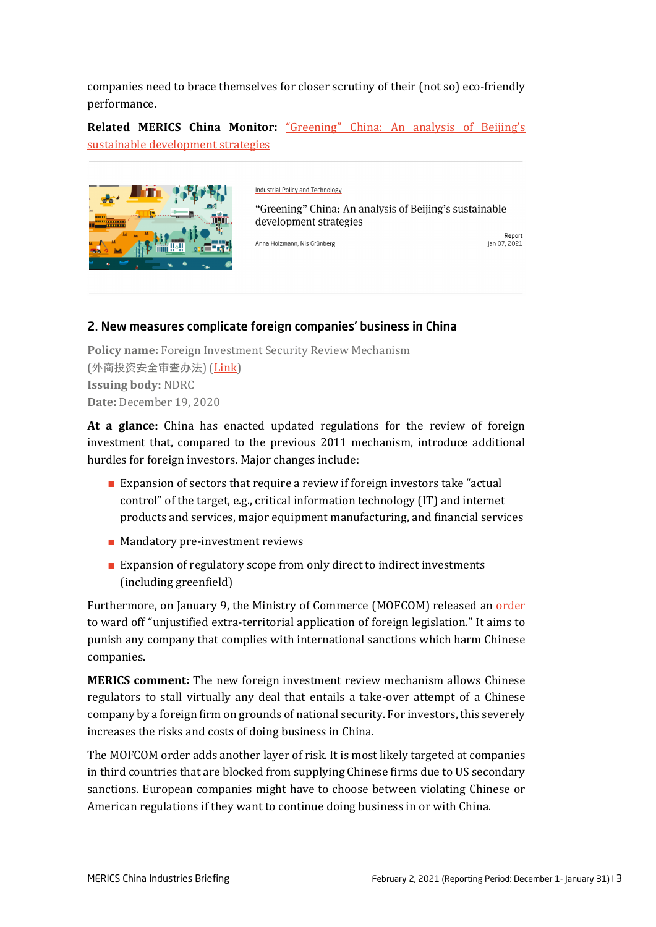companies need to brace themselves for closer scrutiny of their (not so) eco-friendly performance.

**Related MERICS China Monitor:** ["Greening" China: An analysis of Beijing's](https://merics.org/en/report/greening-china-analysis-beijings-sustainable-development-strategies)  [sustainable development strategies](https://merics.org/en/report/greening-china-analysis-beijings-sustainable-development-strategies)



Industrial Policy and Technology

"Greening" China: An analysis of Beijing's sustainable development strategies

Anna Holzmann, Nis Grünberg

Report Jan 07, 2021

## <span id="page-2-0"></span>2. New measures complicate foreign companies' business in China

**Policy name:** Foreign Investment Security Review Mechanism (外商投资安全审查办法) [\(Link\)](https://www.ndrc.gov.cn/xxgk/zcfb/fzggwl/202012/t20201219_1255025.html) **Issuing body:** NDRC **Date:** December 19, 2020

**At a glance:** China has enacted updated regulations for the review of foreign investment that, compared to the previous 2011 mechanism, introduce additional hurdles for foreign investors. Major changes include:

- Expansion of sectors that require a review if foreign investors take "actual control" of the target, e.g., critical information technology (IT) and internet products and services, major equipment manufacturing, and financial services
- Mandatory pre-investment reviews
- Expansion of regulatory scope from only direct to indirect investments (including greenfield)

Furthermore, on January 9, the Ministry of Commerce (MOFCOM) released an [order](http://www.mofcom.gov.cn/article/b/c/202101/20210103029710.shtml) to ward off "unjustified extra-territorial application of foreign legislation." It aims to punish any company that complies with international sanctions which harm Chinese companies.

**MERICS comment:** The new foreign investment review mechanism allows Chinese regulators to stall virtually any deal that entails a take-over attempt of a Chinese company by a foreign firm on grounds of national security. For investors, this severely increases the risks and costs of doing business in China.

The MOFCOM order adds another layer of risk. It is most likely targeted at companies in third countries that are blocked from supplying Chinese firms due to US secondary sanctions. European companies might have to choose between violating Chinese or American regulations if they want to continue doing business in or with China.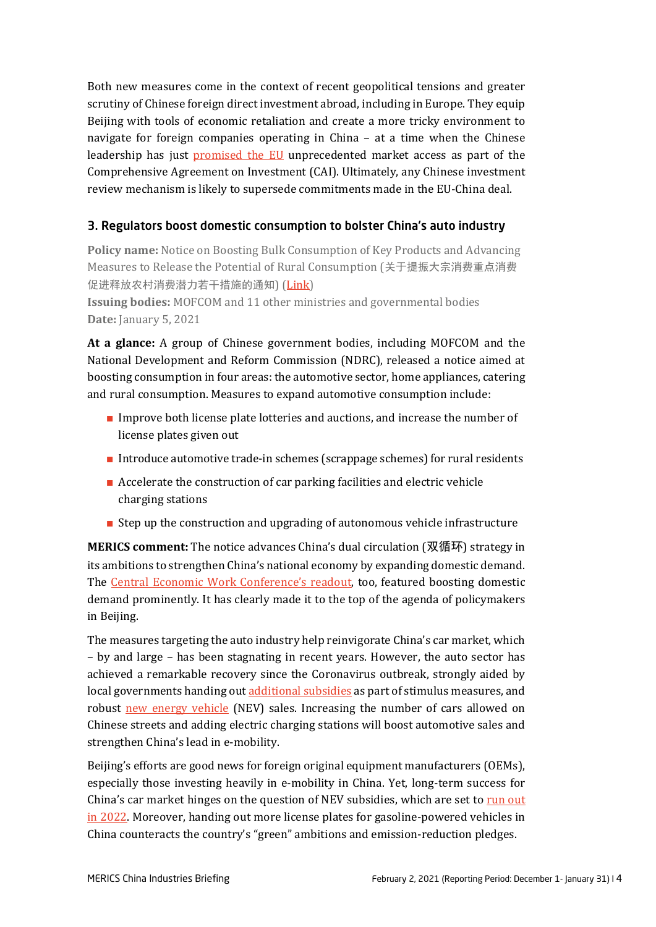Both new measures come in the context of recent geopolitical tensions and greater scrutiny of Chinese foreign direct investment abroad, including in Europe. They equip Beijing with tools of economic retaliation and create a more tricky environment to navigate for foreign companies operating in China – at a time when the Chinese leadership has just [promised the EU](https://merics.org/en/briefing/eu-china-investment-deal-leaves-lot-be-desired) unprecedented market access as part of the Comprehensive Agreement on Investment (CAI). Ultimately, any Chinese investment review mechanism is likely to supersede commitments made in the EU-China deal.

## <span id="page-3-0"></span>3. Regulators boost domestic consumption to bolster China's auto industry

**Policy name:** Notice on Boosting Bulk Consumption of Key Products and Advancing Measures to Release the Potential of Rural Consumption (关于提振大宗消费重点消费 促进释放农村消费潜力若干措施的通知) [\(Link\)](http://www.gov.cn/xinwen/2021-01/05/content_5577324.htm)

**Issuing bodies:** MOFCOM and 11 other ministries and governmental bodies **Date:** January 5, 2021

**At a glance:** A group of Chinese government bodies, including MOFCOM and the National Development and Reform Commission (NDRC), released a notice aimed at boosting consumption in four areas: the automotive sector, home appliances, catering and rural consumption. Measures to expand automotive consumption include:

- **■** Improve both license plate lotteries and auctions, and increase the number of license plates given out
- **■** Introduce automotive trade-in schemes (scrappage schemes) for rural residents
- Accelerate the construction of car parking facilities and electric vehicle charging stations
- **■** Step up the construction and upgrading of autonomous vehicle infrastructure

**MERICS comment:** The notice advances China's dual circulation (双循环) strategy in its ambitions to strengthen China's national economy by expanding domestic demand. The [Central Economic Work Conference's](http://www.xinhuanet.com/politics/leaders/2020-12/18/c_1126879325.htm) readout, too, featured boosting domestic demand prominently. It has clearly made it to the top of the agenda of policymakers in Beijing.

The measures targeting the auto industry help reinvigorate China's car market, which – by and large – has been stagnating in recent years. However, the auto sector has achieved a remarkable recovery since the Coronavirus outbreak, strongly aided by local governments handing out [additional subsidies](https://asia.nikkei.com/Spotlight/Caixin/China-automakers-call-for-stimulus-as-coronavirus-carnage-bites) as part of stimulus measures, and robust [new energy vehicle](https://www.spglobal.com/platts/en/market-insights/latest-news/metals/121720-chinas-ev-sales-to-reach-more-than-13-mil-units-in-2020-caam#:%7E:text=02%3A26%20UTC-,China) (NEV) sales. Increasing the number of cars allowed on Chinese streets and adding electric charging stations will boost automotive sales and strengthen China's lead in e-mobility.

Beijing's efforts are good news for foreign original equipment manufacturers (OEMs), especially those investing heavily in e-mobility in China. Yet, long-term success for China's car market hinges on the question of NEV subsidies, which are set to run out [in 2022.](https://theicct.org/publications/china-2020-22-subsidies-new-energy-vehicles-jul2020) Moreover, handing out more license plates for gasoline-powered vehicles in China counteracts the country's "green" ambitions and emission-reduction pledges.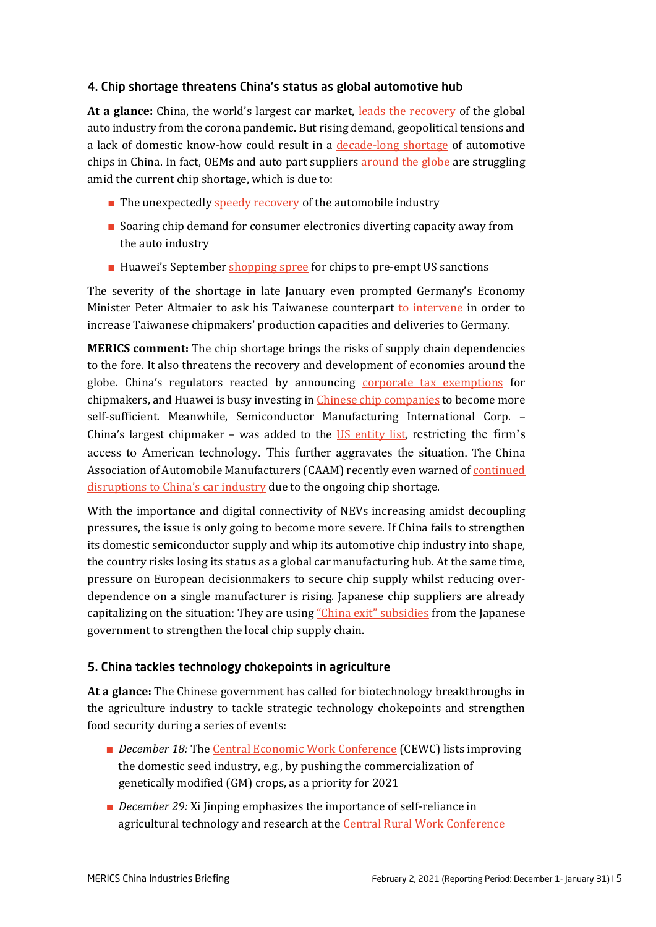## <span id="page-4-0"></span>4. Chip shortage threatens China's status as global automotive hub

**At a glance:** China, the world's largest car market, [leads the recovery](https://www.reuters.com/article/us-china-autos-idUSKBN28L06P) of the global auto industry from the corona pandemic. But rising demand, geopolitical tensions and a lack of domestic know-how could result in a [decade-long shortage](https://www.bloomberg.com/news/articles/2021-01-19/china-s-car-chip-shortage-could-persist-for-as-long-as-a-decade) of automotive chips in China. In fact, OEMs and auto part suppliers **around the globe** are struggling amid the current chip shortage, which is due to:

- The unexpectedly [speedy recovery](https://www.dw.com/en/computer-chip-shortage-disrupts-global-car-production/a-56224486) of the automobile industry
- **■** Soaring chip demand for consumer electronics diverting capacity away from the auto industry
- Huawei's September [shopping spree](https://www.reuters.com/article/chip-shortage-idCNL1N2IX10E) for chips to pre-empt US sanctions

The severity of the shortage in late January even prompted Germany's Economy Minister Peter Altmaier to ask his Taiwanese counterpart [to intervene](https://www.reuters.com/article/us-taiwan-autos-chips/germany-urges-taiwan-to-help-ease-auto-chip-shortage-idUSKBN29T04V) in order to increase Taiwanese chipmakers' production capacities and deliveries to Germany.

**MERICS comment:** The chip shortage brings the risks of supply chain dependencies to the fore. It also threatens the recovery and development of economies around the globe. China's regulators reacted by announcing [corporate tax exemptions](http://szs.mof.gov.cn/zhengcefabu/202012/t20201216_3635155.htm) for chipmakers, and Huawei is busy investing i[n Chinese chip companies](https://www.ft.com/content/7913e2ad-78b9-4d32-874b-f63980a15d26) to become more self-sufficient. Meanwhile, Semiconductor Manufacturing International Corp. – China's largest chipmaker – was added to the [US entity list,](https://www.commerce.gov/news/press-releases/2020/12/commerce-adds-chinas-smic-entity-list-restricting-access-key-enabling) restricting the firm's access to American technology. This further aggravates the situation. The China Association of Automobile Manufacturers (CAAM) recently even warned of continued [disruptions to China's car industry](https://www.sohu.com/a/444257779_100183167) due to the ongoing chip shortage.

With the importance and digital connectivity of NEVs increasing amidst decoupling pressures, the issue is only going to become more severe. If China fails to strengthen its domestic semiconductor supply and whip its automotive chip industry into shape, the country risks losing its status as a global car manufacturing hub. At the same time, pressure on European decisionmakers to secure chip supply whilst reducing overdependence on a single manufacturer is rising. Japanese chip suppliers are already capitalizing on the situation: They are using ["China exit" subsidies](https://asia.nikkei.com/Economy/Trade/Japan-chip-suppliers-reap-benefits-of-China-exit-subsidy) from the Japanese government to strengthen the local chip supply chain.

## <span id="page-4-1"></span>5. China tackles technology chokepoints in agriculture

**At a glance:** The Chinese government has called for biotechnology breakthroughs in the agriculture industry to tackle strategic technology chokepoints and strengthen food security during a series of events:

- *December 18:* The [Central Economic Work Conference](http://www.xinhuanet.com/politics/leaders/2020-12/18/c_1126879325.htm?mc_cid=533e59ca3f&mc_eid=2a1ec643bb) (CEWC) lists improving the domestic seed industry, e.g., by pushing the commercialization of genetically modified (GM) crops, as a priority for 2021
- *December 29:* Xi Jinping emphasizes the importance of self-reliance in agricultural technology and research at the [Central Rural Work Conference](http://www.xinhuanet.com/politics/2020-12/29/c_1126923715.htm)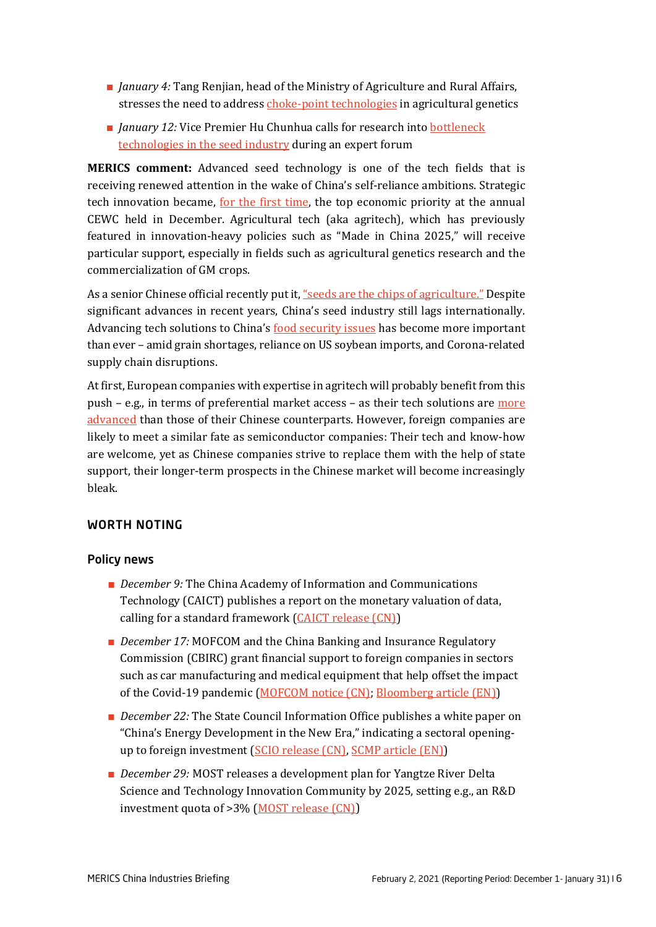- **■** *January 4:* Tang Renjian, head of the Ministry of Agriculture and Rural Affairs, stresses the need to address [choke-point technologies](http://www.moa.gov.cn/xw/zwdt/202101/t20210104_6359263.htm) in agricultural genetics
- *January* 12: Vice Premier Hu Chunhua calls for research into bottleneck [technologies in the seed industry](http://www.gov.cn/guowuyuan/2021-01/12/content_5579303.htm) during an expert forum

**MERICS comment:** Advanced seed technology is one of the tech fields that is receiving renewed attention in the wake of China's self-reliance ambitions. Strategic tech innovation became, [for the first time,](https://merics.org/en/short-analysis/science-supply-chains-and-financial-sector-set-priorities-chinas-economy) the top economic priority at the annual CEWC held in December. Agricultural tech (aka agritech), which has previously featured in innovation-heavy policies such as "Made in China 2025," will receive particular support, especially in fields such as agricultural genetics research and the commercialization of GM crops.

As a senior Chinese official recently put it[, "seeds are the chips of agriculture."](https://www.yicai.com/news/100883309.html/) Despite significant advances in recent years, China's seed industry still lags internationally. Advancing tech solutions to China's [food security issues](https://sg.news.yahoo.com/china-food-security-beijing-calls-125831412.html?guccounter=1) has become more important than ever – amid grain shortages, reliance on US soybean imports, and Corona-related supply chain disruptions.

At first, European companies with expertise in agritech will probably benefit from this push - e.g., in terms of preferential market access - as their tech solutions are more [advanced](https://www.globaltimes.cn/page/202012/1211487.shtml) than those of their Chinese counterparts. However, foreign companies are likely to meet a similar fate as semiconductor companies: Their tech and know-how are welcome, yet as Chinese companies strive to replace them with the help of state support, their longer-term prospects in the Chinese market will become increasingly bleak.

#### <span id="page-5-0"></span>WORTH NOTING

#### <span id="page-5-1"></span>Policy news

- *December 9:* The China Academy of Information and Communications Technology (CAICT) publishes a report on the monetary valuation of data, calling for a standard framework [\(CAICT release \(CN\)\)](http://www.caict.ac.cn/kxyj/qwfb/ztbg/202012/t20201209_365644.htm)
- *December 17:* MOFCOM and the China Banking and Insurance Regulatory Commission (CBIRC) grant financial support to foreign companies in sectors such as car manufacturing and medical equipment that help offset the impact of the Covid-19 pandemic [\(MOFCOM notice \(CN\);](http://www.mofcom.gov.cn/article/ae/ai/202012/20201203023846.shtml) [Bloomberg article \(EN\)\)](https://www.bloomberg.com/news/articles/2020-12-17/china-to-provide-financial-support-to-key-foreign-companies)
- *December 22:* The State Council Information Office publishes a white paper on "China's Energy Development in the New Era," indicating a sectoral openingup to foreign investment [\(SCIO release \(CN\),](http://www.scio.gov.cn/zfbps/32832/Document/1695297/1695297.htm) [SCMP article \(EN\)\)](https://www.scmp.com/economy/china-economy/article/3114942/china-open-energy-sector-foreign-investment-it-seeks-balance)
- *December 29:* MOST releases a development plan for Yangtze River Delta Science and Technology Innovation Community by 2025, setting e.g., an R&D investment quota of >3% [\(MOST release \(CN\)\)](http://www.most.gov.cn/xxgk/xinxifenlei/fdzdgknr/fgzc/gfxwj/gfxwj2020/202012/t20201229_160423.html)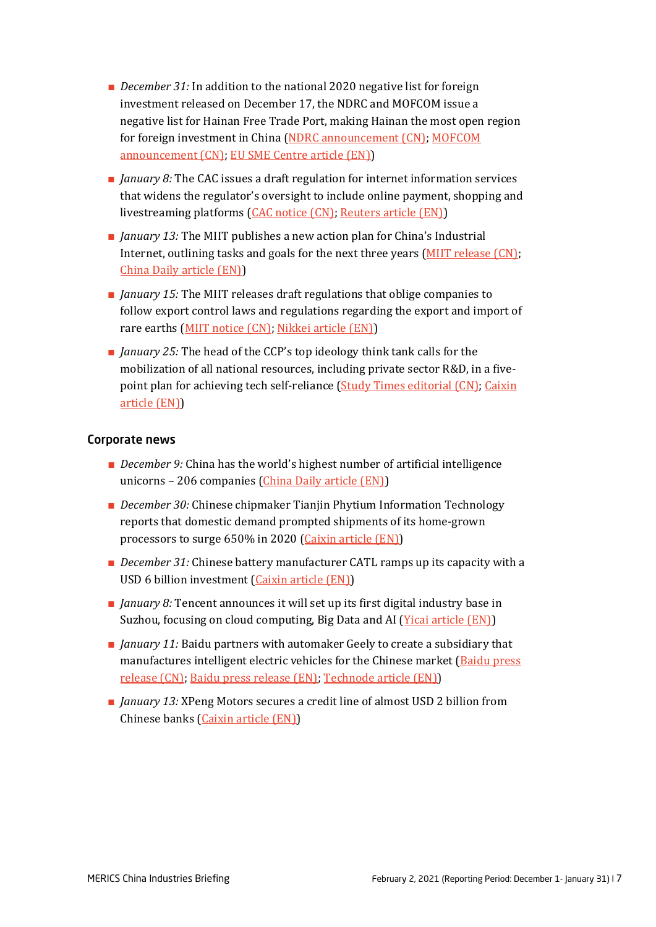- *December 31:* In addition to the national 2020 negative list for foreign investment released on December 17, the NDRC and MOFCOM issue a negative list for Hainan Free Trade Port, making Hainan the most open region for foreign investment in China [\(NDRC announcement \(CN\);](https://www.ndrc.gov.cn/xxgk/zcfb/ghxwj/202012/t20201216_1252897.html) MOFCOM [announcement \(CN\);](http://www.mofcom.gov.cn/article/i/jyjl/l/202101/20210103029696.shtml) [EU SME Centre article \(EN\)\)](https://www.eusmecentre.org.cn/press-article/hainan-free-trade-port-foreign-investment-negative-list-2020-edition)
- *January 8:* The CAC issues a draft regulation for internet information services that widens the regulator's oversight to include online payment, shopping and livestreaming platforms (CAC [notice \(CN\);](http://www.cac.gov.cn/2021-01/08/c_1611676476075132.htm) [Reuters article \(EN\)\)](https://www.reuters.com/article/us-china-tech/chinas-internet-regulator-weighs-tighter-curbs-on-payment-shopping-platforms-idUSKBN29D0GC)
- *January 13:* The MIIT publishes a new action plan for China's Industrial Internet, outlining tasks and goals for the next three years [\(MIIT release \(CN\);](https://www.miit.gov.cn/zwgk/zcwj/wjfb/txy/art/2021/art_710b90df3c01495bb0429fa9ee781cdd.html) [China Daily article \(EN\)\)](https://global.chinadaily.com.cn/a/202101/24/WS600cae3da31024ad0baa4a21.html)
- *January 15:* The MIIT releases draft regulations that oblige companies to follow export control laws and regulations regarding the export and import of rare earths [\(MIIT notice \(CN\);](https://www.miit.gov.cn/gzcy/yjzj/art/2021/art_863f0f1671cf44b28e6ed8cb60eae7f6.html) [Nikkei article \(EN\)\)](https://asia.nikkei.com/Business/Markets/Commodities/China-tightens-rare-earth-regulations-policing-entire-supply-chain)
- *January 25:* The head of the CCP's top ideology think tank calls for the mobilization of all national resources, including private sector R&D, in a fivepoint plan for achieving tech self-reliance [\(Study Times editorial \(CN\);](http://www.cntheory.com/zydx/2021-01/ccps210125Y2N8.html) [Caixin](https://www.caixinglobal.com/2021-01-25/party-calls-on-private-sector-to-break-us-tech-blockade-101655472.html)  [article \(EN\)\)](https://www.caixinglobal.com/2021-01-25/party-calls-on-private-sector-to-break-us-tech-blockade-101655472.html)

#### <span id="page-6-0"></span>Corporate news

- *December 9:* China has the world's highest number of artificial intelligence unicorns – 206 companies (China Daily [article \(EN\)\)](https://www.chinadaily.com.cn/a/202012/09/WS5fd03852a31024ad0ba9ac4a.html)
- *December 30:* Chinese chipmaker Tianjin Phytium Information Technology reports that domestic demand prompted shipments of its home-grown processors to surge 650% in 2020 [\(Caixin article \(EN\)\)](https://www.caixinglobal.com/2020-12-30/chinese-chipmakers-shipments-surge-650-on-strong-domestic-demand-101644653.html)
- **■** *December 31:* Chinese battery manufacturer CATL ramps up its capacity with a USD 6 billion investment [\(Caixin article \(EN\)\)](https://www.caixinglobal.com/2020-12-31/electric-car-battery-giant-to-turbo-charge-capacity-with-6-billion-investment-101645674.html)
- *January 8:* Tencent announces it will set up its first digital industry base in Suzhou, focusing on cloud computing, Big Data and AI [\(Yicai article \(EN\)\)](https://www.yicaiglobal.com/news/tencent-to-set-up-first-digital-industry-base-in-yangtze-river-delta-in-suzhou)
- *January 11:* Baidu partners with automaker Geely to create a subsidiary that manufactures intelligent electric vehicles for the Chinese market [\(Baidu press](https://home.baidu.com/home/index/news_detail/id/17953)  [release \(CN\);](https://home.baidu.com/home/index/news_detail/id/17953) [Baidu press release \(EN\);](https://ir.baidu.com/news-releases/news-release-details/baidu-announces-plan-establish-intelligent-ev-company-and-form) [Technode article \(EN\)\)](https://technode.com/2021/01/12/search-giant-baidu-to-make-evs-with-chinese-automaker-geely/)
- *January 13:* XPeng Motors secures a credit line of almost USD 2 billion from Chinese banks [\(Caixin article \(EN\)\)](https://www.caixinglobal.com/2021-01-13/tesla-rival-xpeng-motors-into-new-year-fueled-by-new-credit-line-101650139.html)